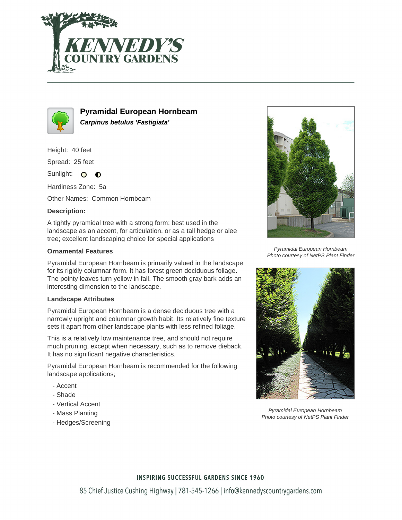



**Pyramidal European Hornbeam Carpinus betulus 'Fastigiata'**

Height: 40 feet

Spread: 25 feet

Sunlight: O **O** 

Hardiness Zone: 5a

Other Names: Common Hornbeam

# **Description:**

A tightly pyramidal tree with a strong form; best used in the landscape as an accent, for articulation, or as a tall hedge or alee tree; excellent landscaping choice for special applications

# **Ornamental Features**

Pyramidal European Hornbeam is primarily valued in the landscape for its rigidly columnar form. It has forest green deciduous foliage. The pointy leaves turn yellow in fall. The smooth gray bark adds an interesting dimension to the landscape.

### **Landscape Attributes**

Pyramidal European Hornbeam is a dense deciduous tree with a narrowly upright and columnar growth habit. Its relatively fine texture sets it apart from other landscape plants with less refined foliage.

This is a relatively low maintenance tree, and should not require much pruning, except when necessary, such as to remove dieback. It has no significant negative characteristics.

Pyramidal European Hornbeam is recommended for the following landscape applications;

- Accent
- Shade
- Vertical Accent
- Mass Planting
- Hedges/Screening



Pyramidal European Hornbeam Photo courtesy of NetPS Plant Finder



Pyramidal European Hornbeam Photo courtesy of NetPS Plant Finder

### **INSPIRING SUCCESSFUL GARDENS SINCE 1960**